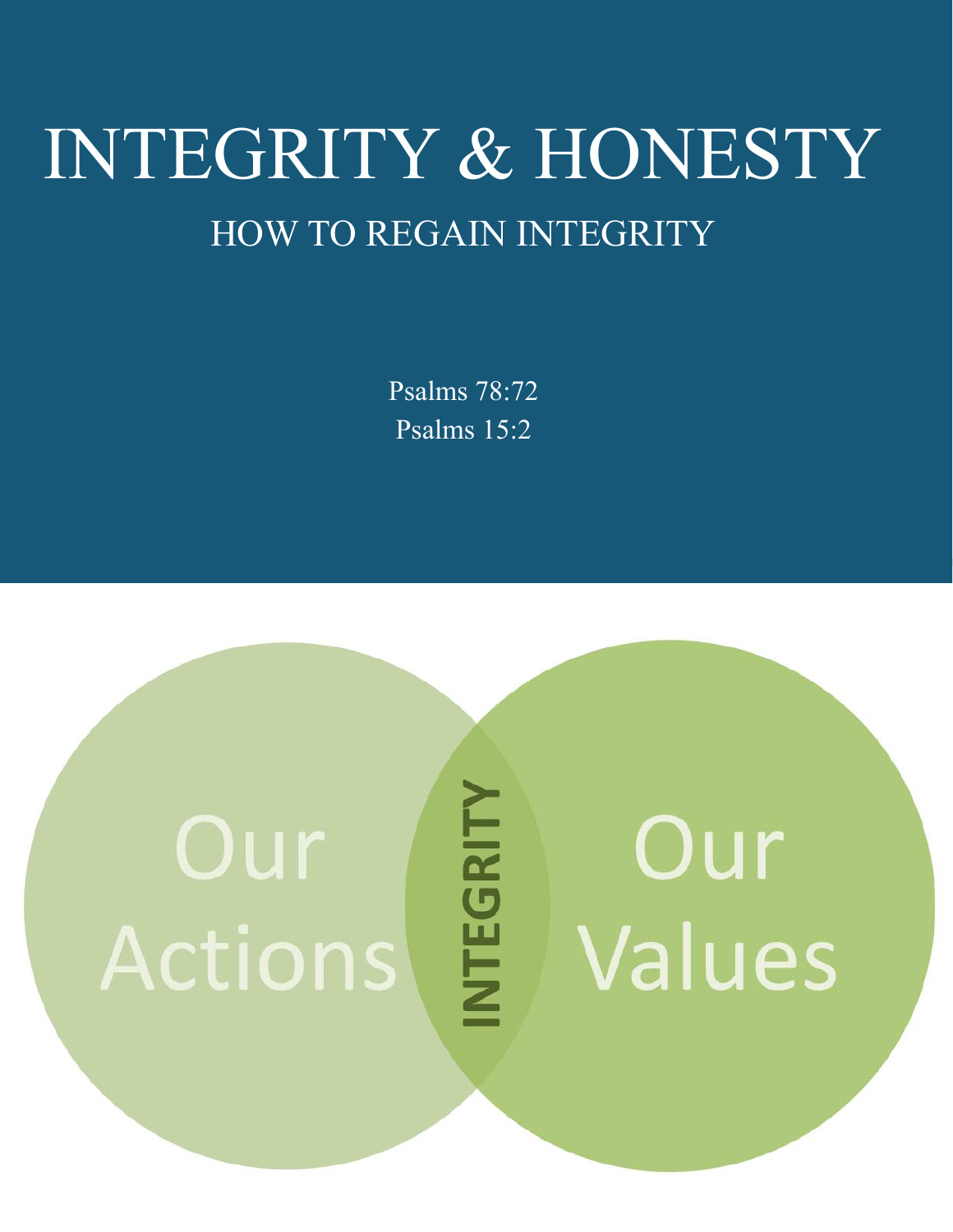## INTEGRITY & HONESTY HOW TO REGAIN INTEGRITY

Psalms 78:72 Psalms 15:2

# Our Actions

# **NTEGRITY**

# Our Values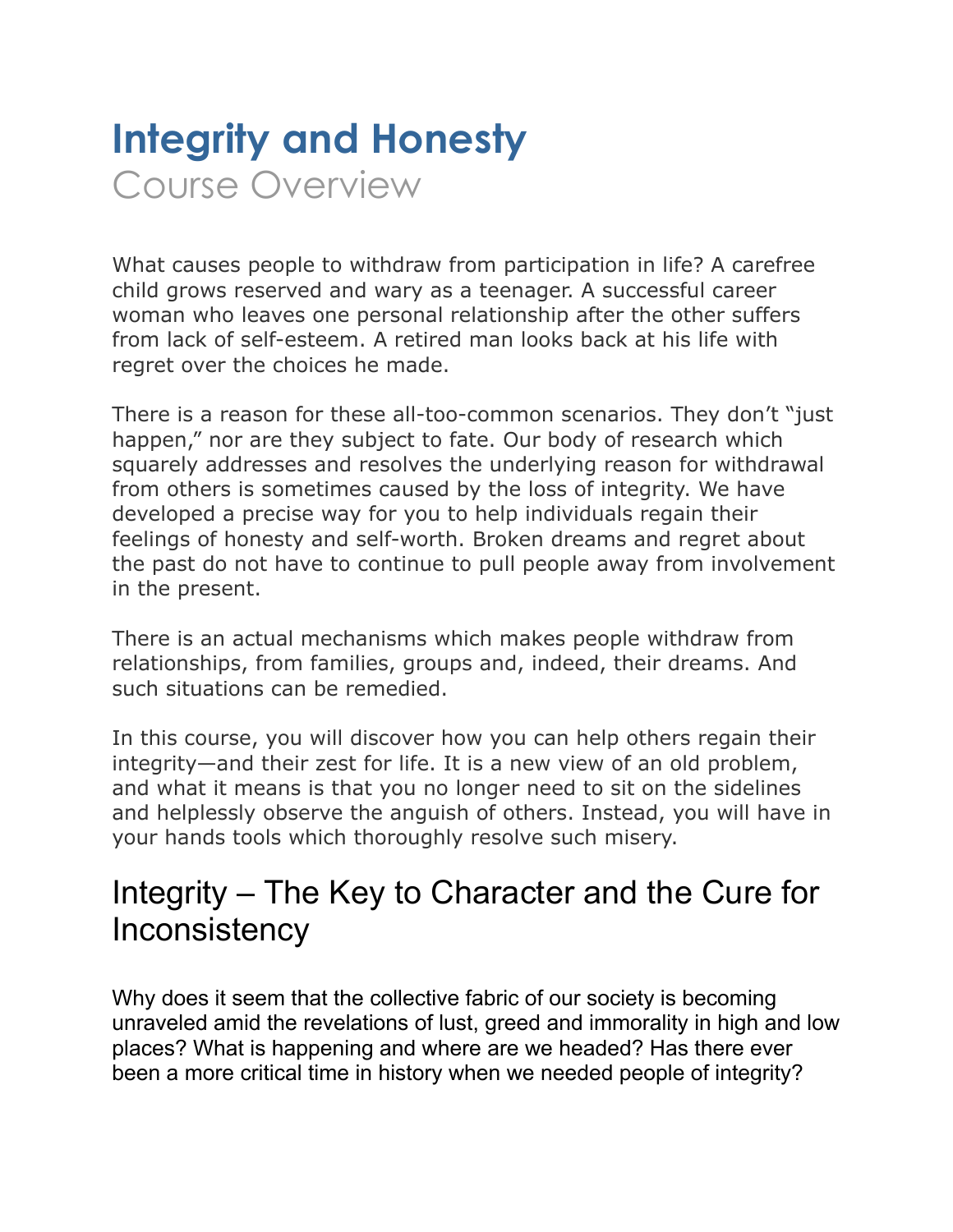## **Integrity and Honesty**  Course Overview

What causes people to withdraw from participation in life? A carefree child grows reserved and wary as a teenager. A successful career woman who leaves one personal relationship after the other suffers from lack of self-esteem. A retired man looks back at his life with regret over the choices he made.

There is a reason for these all-too-common scenarios. They don't "just happen," nor are they subject to fate. Our body of research which squarely addresses and resolves the underlying reason for withdrawal from others is sometimes caused by the loss of integrity. We have developed a precise way for you to help individuals regain their feelings of honesty and self-worth. Broken dreams and regret about the past do not have to continue to pull people away from involvement in the present.

There is an actual mechanisms which makes people withdraw from relationships, from families, groups and, indeed, their dreams. And such situations can be remedied.

In this course, you will discover how you can help others regain their integrity—and their zest for life. It is a new view of an old problem, and what it means is that you no longer need to sit on the sidelines and helplessly observe the anguish of others. Instead, you will have in your hands tools which thoroughly resolve such misery.

#### Integrity – The Key to Character and the Cure for Inconsistency

Why does it seem that the collective fabric of our society is becoming unraveled amid the revelations of lust, greed and immorality in high and low places? What is happening and where are we headed? Has there ever been a more critical time in history when we needed people of integrity?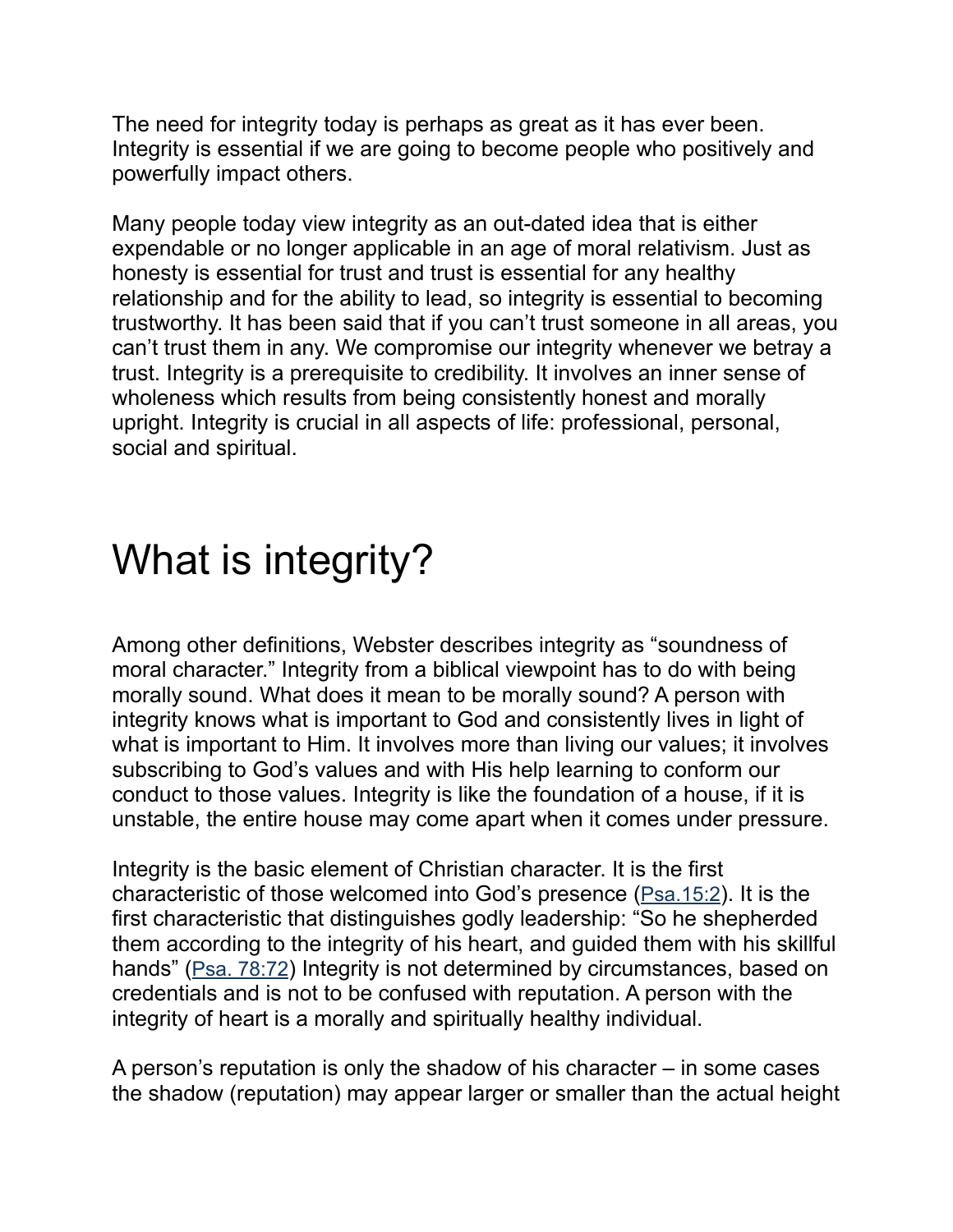The need for integrity today is perhaps as great as it has ever been. Integrity is essential if we are going to become people who positively and powerfully impact others.

Many people today view integrity as an out-dated idea that is either expendable or no longer applicable in an age of moral relativism. Just as honesty is essential for trust and trust is essential for any healthy relationship and for the ability to lead, so integrity is essential to becoming trustworthy. It has been said that if you can't trust someone in all areas, you can't trust them in any. We compromise our integrity whenever we betray a trust. Integrity is a prerequisite to credibility. It involves an inner sense of wholeness which results from being consistently honest and morally upright. Integrity is crucial in all aspects of life: professional, personal, social and spiritual.

### What is integrity?

Among other definitions, Webster describes integrity as "soundness of moral character." Integrity from a biblical viewpoint has to do with being morally sound. What does it mean to be morally sound? A person with integrity knows what is important to God and consistently lives in light of what is important to Him. It involves more than living our values; it involves subscribing to God's values and with His help learning to conform our conduct to those values. Integrity is like the foundation of a house, if it is unstable, the entire house may come apart when it comes under pressure.

Integrity is the basic element of Christian character. It is the first characteristic of those welcomed into God's presence (Psa.15:2). It is the first characteristic that distinguishes godly leadership: "So he shepherded them according to the integrity of his heart, and guided them with his skillful hands" (Psa. 78:72) Integrity is not determined by circumstances, based on credentials and is not to be confused with reputation. A person with the integrity of heart is a morally and spiritually healthy individual.

A person's reputation is only the shadow of his character – in some cases the shadow (reputation) may appear larger or smaller than the actual height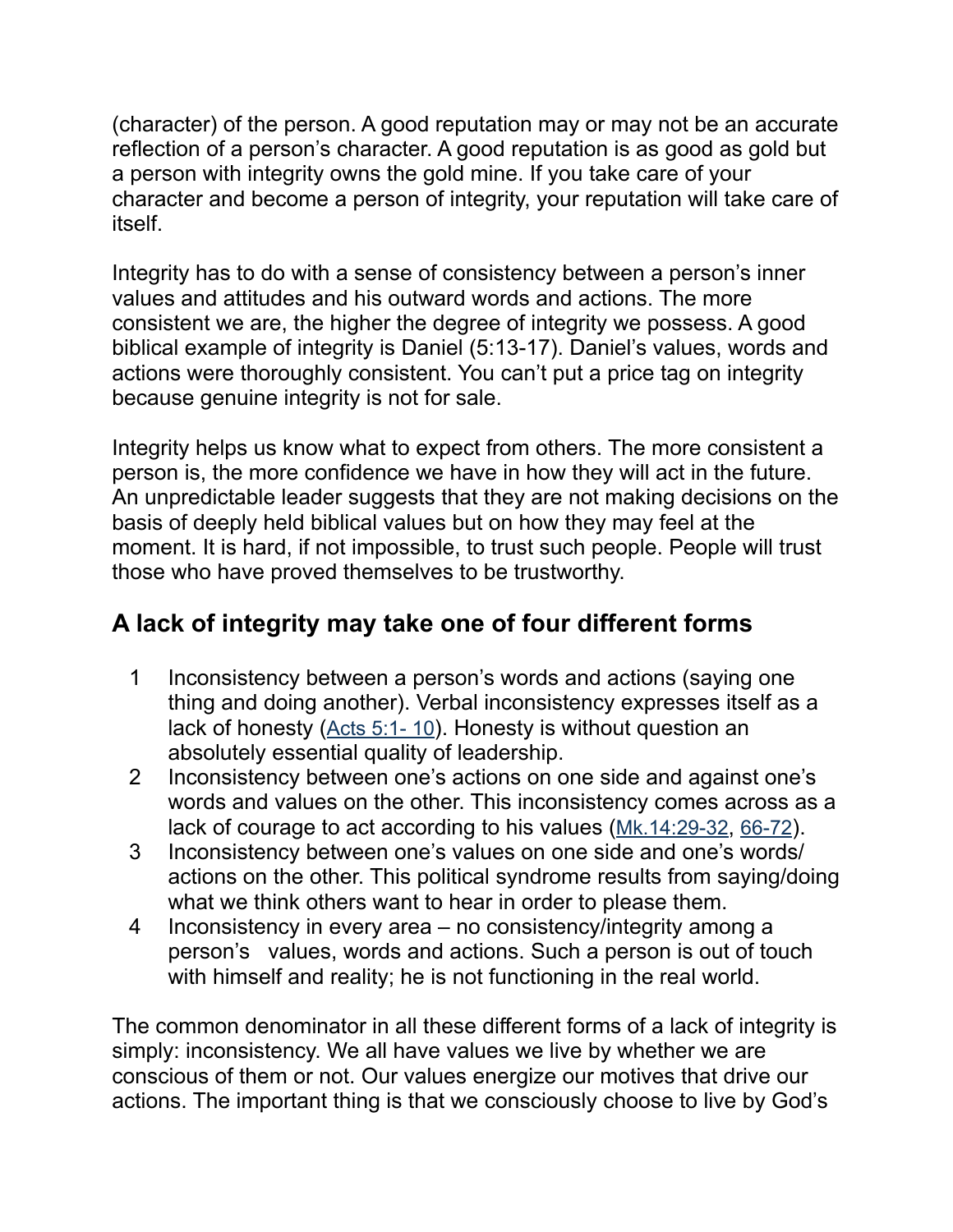(character) of the person. A good reputation may or may not be an accurate reflection of a person's character. A good reputation is as good as gold but a person with integrity owns the gold mine. If you take care of your character and become a person of integrity, your reputation will take care of itself.

Integrity has to do with a sense of consistency between a person's inner values and attitudes and his outward words and actions. The more consistent we are, the higher the degree of integrity we possess. A good biblical example of integrity is Daniel (5:13-17). Daniel's values, words and actions were thoroughly consistent. You can't put a price tag on integrity because genuine integrity is not for sale.

Integrity helps us know what to expect from others. The more consistent a person is, the more confidence we have in how they will act in the future. An unpredictable leader suggests that they are not making decisions on the basis of deeply held biblical values but on how they may feel at the moment. It is hard, if not impossible, to trust such people. People will trust those who have proved themselves to be trustworthy.

#### **A lack of integrity may take one of four different forms**

- 1 Inconsistency between a person's words and actions (saying one thing and doing another). Verbal inconsistency expresses itself as a lack of honesty (Acts 5:1- 10). Honesty is without question an absolutely essential quality of leadership.
- 2 Inconsistency between one's actions on one side and against one's words and values on the other. This inconsistency comes across as a lack of courage to act according to his values (Mk.14:29-32, 66-72).
- 3 Inconsistency between one's values on one side and one's words/ actions on the other. This political syndrome results from saying/doing what we think others want to hear in order to please them.
- 4 Inconsistency in every area no consistency/integrity among a person's values, words and actions. Such a person is out of touch with himself and reality; he is not functioning in the real world.

The common denominator in all these different forms of a lack of integrity is simply: inconsistency. We all have values we live by whether we are conscious of them or not. Our values energize our motives that drive our actions. The important thing is that we consciously choose to live by God's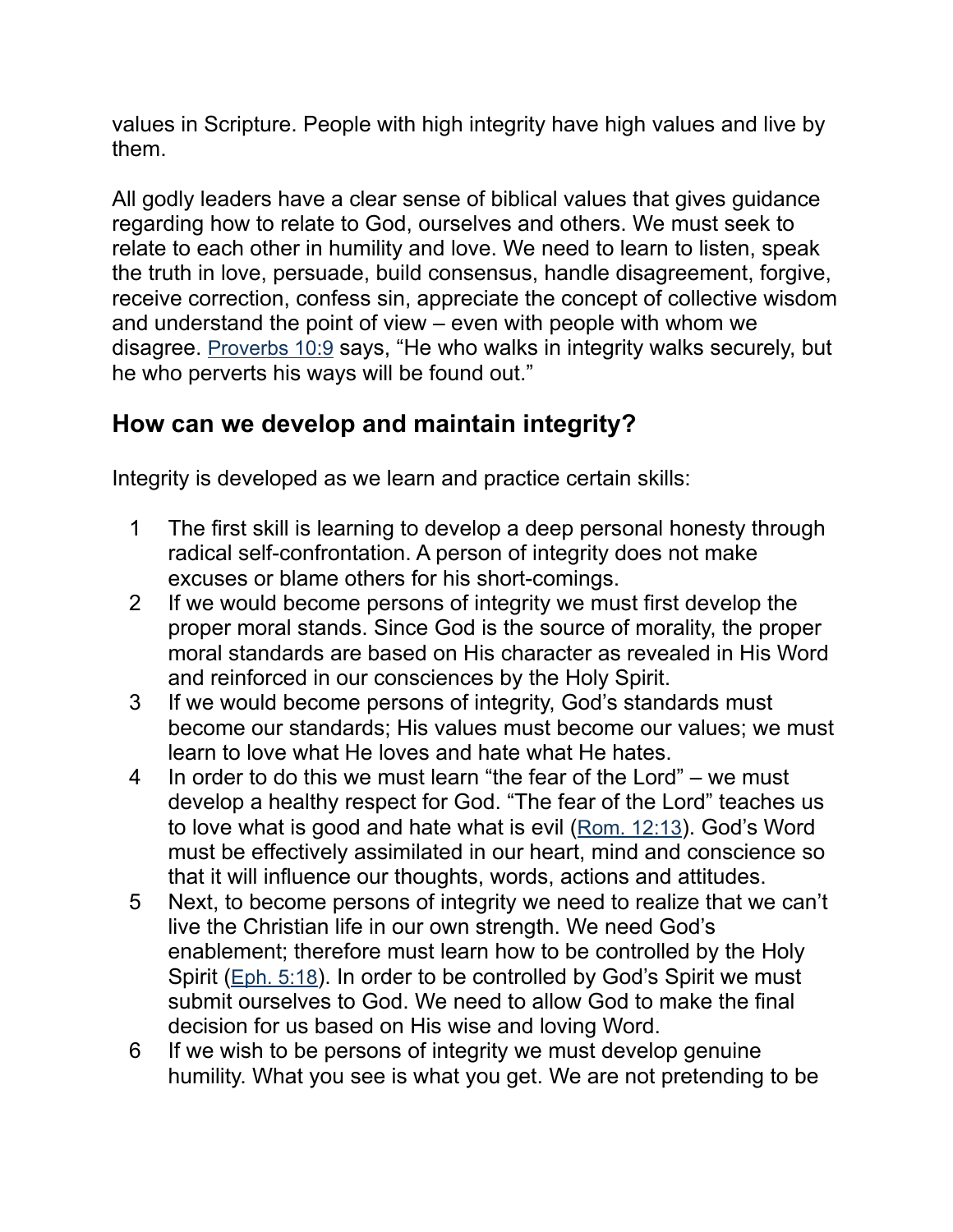values in Scripture. People with high integrity have high values and live by them.

All godly leaders have a clear sense of biblical values that gives guidance regarding how to relate to God, ourselves and others. We must seek to relate to each other in humility and love. We need to learn to listen, speak the truth in love, persuade, build consensus, handle disagreement, forgive, receive correction, confess sin, appreciate the concept of collective wisdom and understand the point of view – even with people with whom we disagree. Proverbs 10:9 says, "He who walks in integrity walks securely, but he who perverts his ways will be found out."

#### **How can we develop and maintain integrity?**

Integrity is developed as we learn and practice certain skills:

- 1 The first skill is learning to develop a deep personal honesty through radical self-confrontation. A person of integrity does not make excuses or blame others for his short-comings.
- 2 If we would become persons of integrity we must first develop the proper moral stands. Since God is the source of morality, the proper moral standards are based on His character as revealed in His Word and reinforced in our consciences by the Holy Spirit.
- 3 If we would become persons of integrity, God's standards must become our standards; His values must become our values; we must learn to love what He loves and hate what He hates.
- 4 In order to do this we must learn "the fear of the Lord" we must develop a healthy respect for God. "The fear of the Lord" teaches us to love what is good and hate what is evil (Rom. 12:13). God's Word must be effectively assimilated in our heart, mind and conscience so that it will influence our thoughts, words, actions and attitudes.
- 5 Next, to become persons of integrity we need to realize that we can't live the Christian life in our own strength. We need God's enablement; therefore must learn how to be controlled by the Holy Spirit (Eph. 5:18). In order to be controlled by God's Spirit we must submit ourselves to God. We need to allow God to make the final decision for us based on His wise and loving Word.
- 6 If we wish to be persons of integrity we must develop genuine humility. What you see is what you get. We are not pretending to be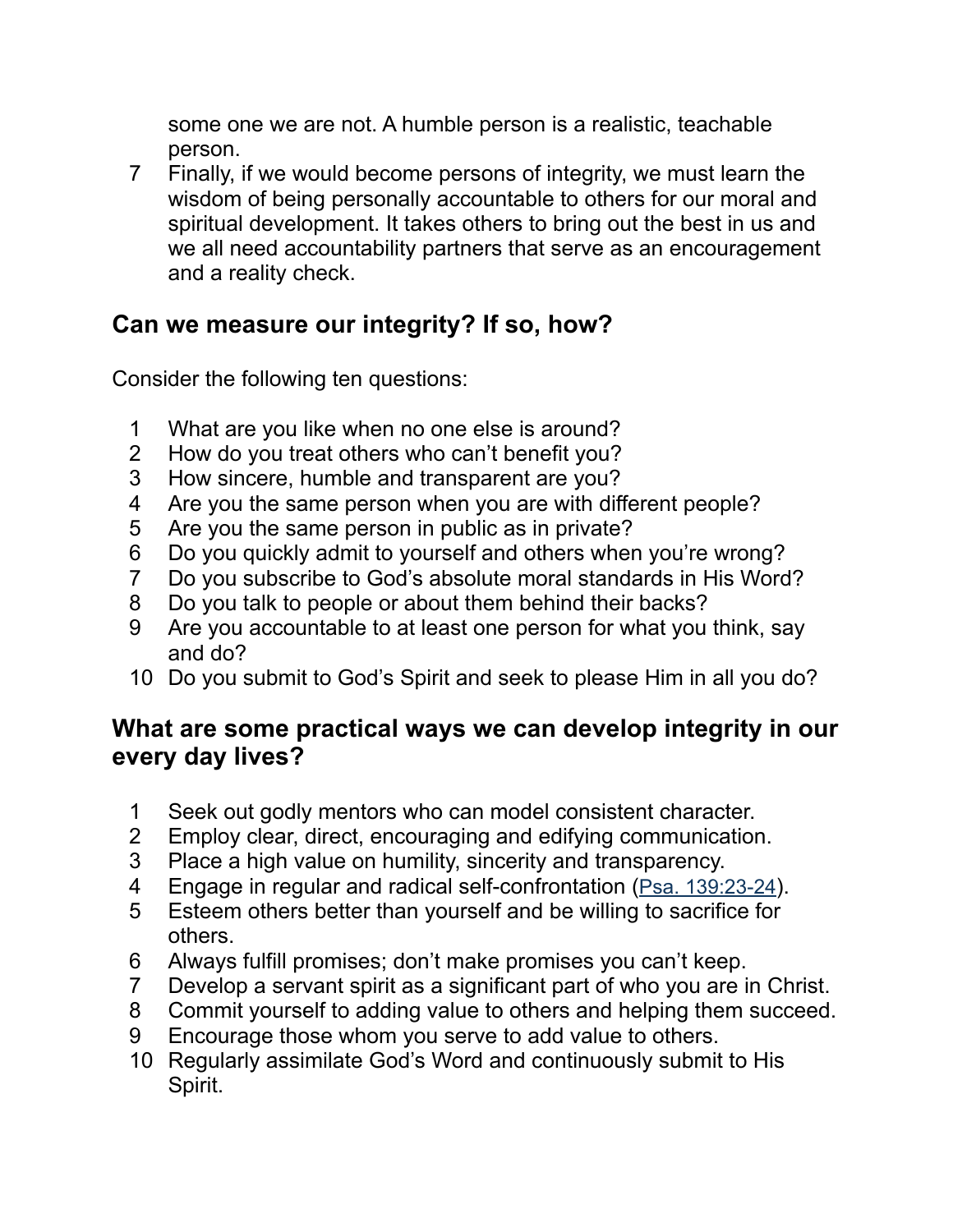some one we are not. A humble person is a realistic, teachable person.

 7 Finally, if we would become persons of integrity, we must learn the wisdom of being personally accountable to others for our moral and spiritual development. It takes others to bring out the best in us and we all need accountability partners that serve as an encouragement and a reality check.

#### **Can we measure our integrity? If so, how?**

Consider the following ten questions:

- 1 What are you like when no one else is around?
- 2 How do you treat others who can't benefit you?
- 3 How sincere, humble and transparent are you?
- 4 Are you the same person when you are with different people?
- 5 Are you the same person in public as in private?
- 6 Do you quickly admit to yourself and others when you're wrong?
- 7 Do you subscribe to God's absolute moral standards in His Word?
- 8 Do you talk to people or about them behind their backs?
- 9 Are you accountable to at least one person for what you think, say and do?
- 10 Do you submit to God's Spirit and seek to please Him in all you do?

#### **What are some practical ways we can develop integrity in our every day lives?**

- 1 Seek out godly mentors who can model consistent character.
- 2 Employ clear, direct, encouraging and edifying communication.
- 3 Place a high value on humility, sincerity and transparency.
- 4 Engage in regular and radical self-confrontation (Psa. 139:23-24).
- 5 Esteem others better than yourself and be willing to sacrifice for others.
- 6 Always fulfill promises; don't make promises you can't keep.
- 7 Develop a servant spirit as a significant part of who you are in Christ.
- 8 Commit yourself to adding value to others and helping them succeed.
- 9 Encourage those whom you serve to add value to others.
- 10 Regularly assimilate God's Word and continuously submit to His Spirit.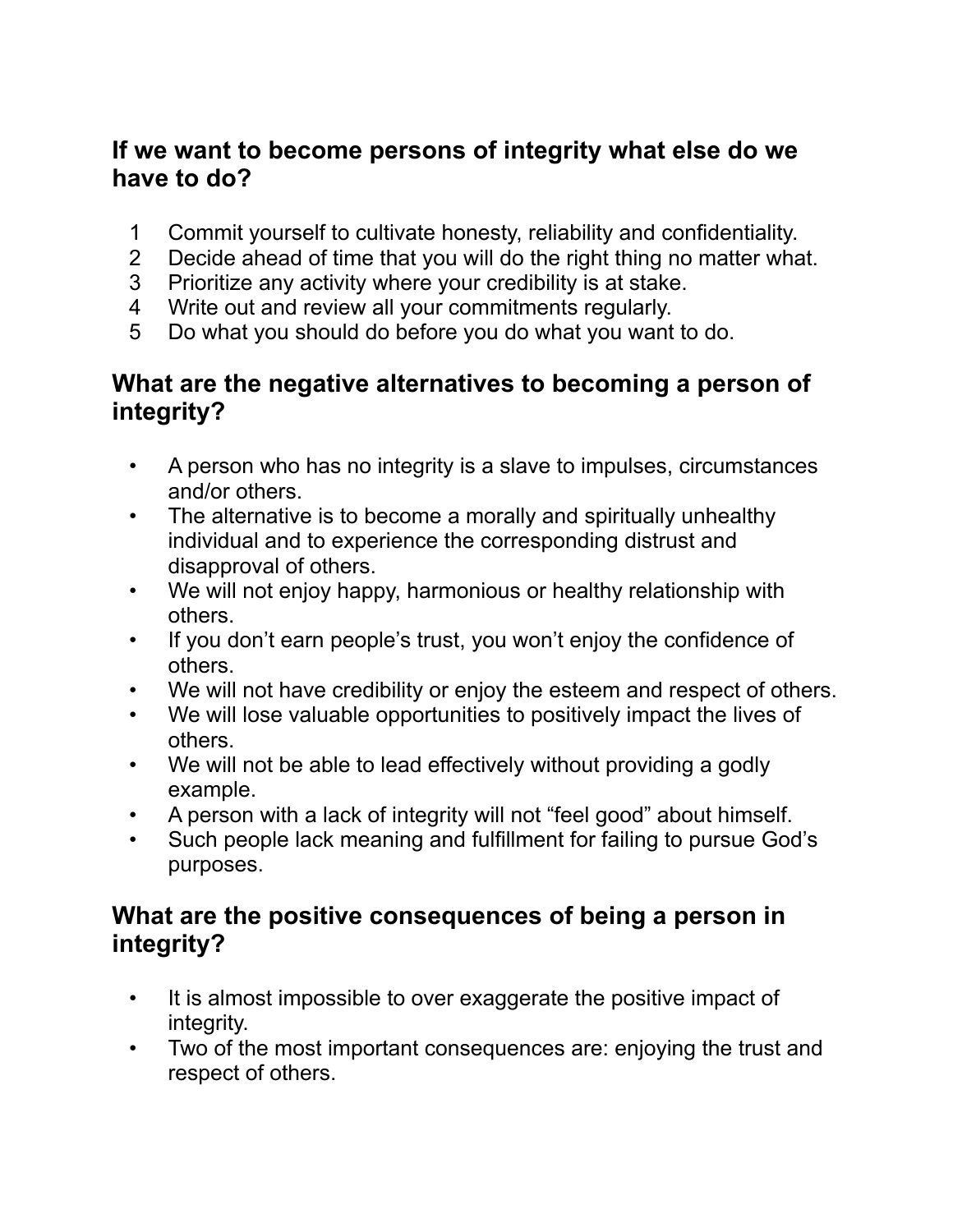#### **If we want to become persons of integrity what else do we have to do?**

- 1 Commit yourself to cultivate honesty, reliability and confidentiality.
- 2 Decide ahead of time that you will do the right thing no matter what.
- 3 Prioritize any activity where your credibility is at stake.
- 4 Write out and review all your commitments regularly.
- 5 Do what you should do before you do what you want to do.

#### **What are the negative alternatives to becoming a person of integrity?**

- A person who has no integrity is a slave to impulses, circumstances and/or others.
- The alternative is to become a morally and spiritually unhealthy individual and to experience the corresponding distrust and disapproval of others.
- We will not enjoy happy, harmonious or healthy relationship with others.
- If you don't earn people's trust, you won't enjoy the confidence of others.
- We will not have credibility or enjoy the esteem and respect of others.
- We will lose valuable opportunities to positively impact the lives of others.
- We will not be able to lead effectively without providing a godly example.
- A person with a lack of integrity will not "feel good" about himself.
- Such people lack meaning and fulfillment for failing to pursue God's purposes.

#### **What are the positive consequences of being a person in integrity?**

- It is almost impossible to over exaggerate the positive impact of integrity.
- Two of the most important consequences are: enjoying the trust and respect of others.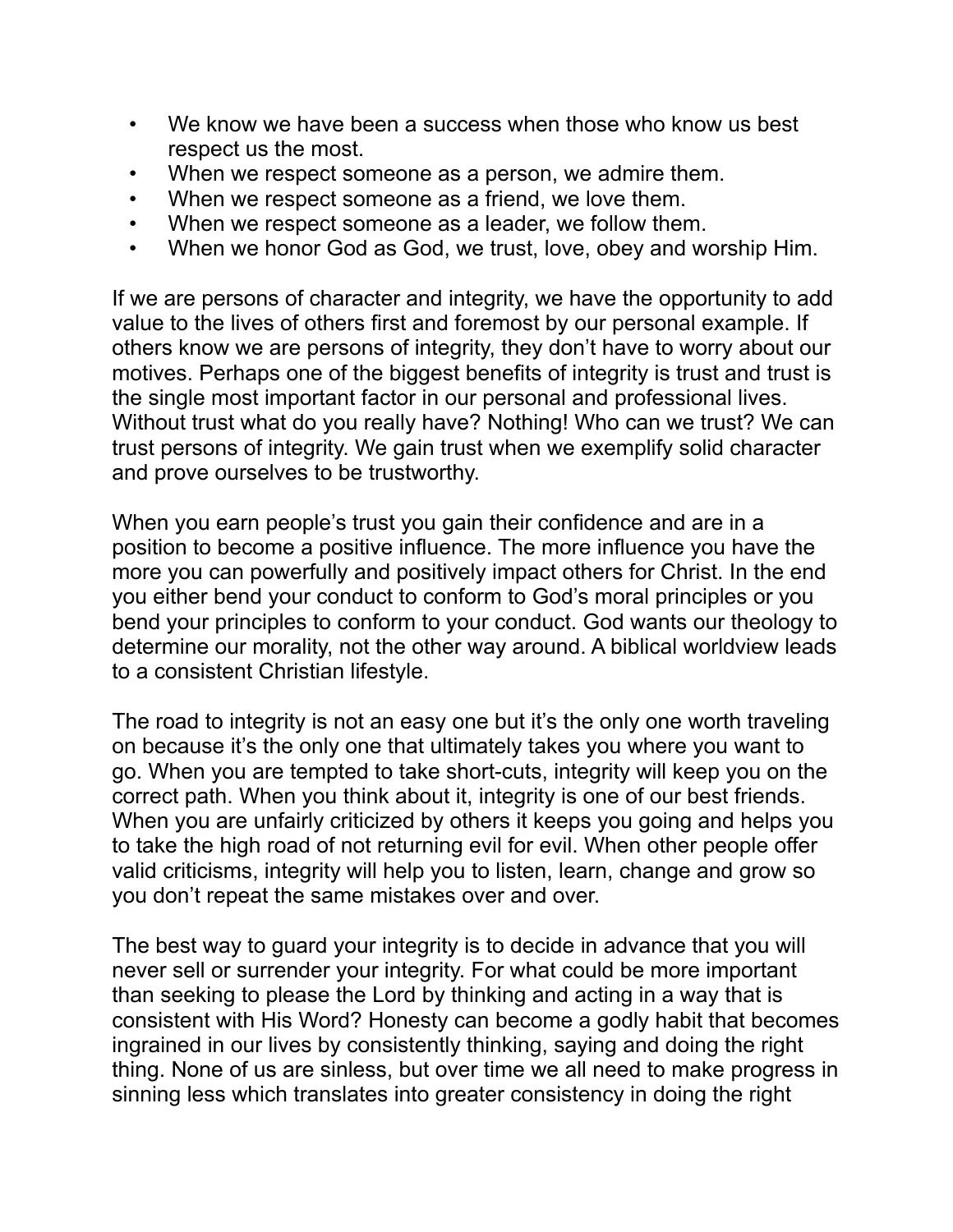- We know we have been a success when those who know us best respect us the most.
- When we respect someone as a person, we admire them.
- When we respect someone as a friend, we love them.
- When we respect someone as a leader, we follow them.
- When we honor God as God, we trust, love, obey and worship Him.

If we are persons of character and integrity, we have the opportunity to add value to the lives of others first and foremost by our personal example. If others know we are persons of integrity, they don't have to worry about our motives. Perhaps one of the biggest benefits of integrity is trust and trust is the single most important factor in our personal and professional lives. Without trust what do you really have? Nothing! Who can we trust? We can trust persons of integrity. We gain trust when we exemplify solid character and prove ourselves to be trustworthy.

When you earn people's trust you gain their confidence and are in a position to become a positive influence. The more influence you have the more you can powerfully and positively impact others for Christ. In the end you either bend your conduct to conform to God's moral principles or you bend your principles to conform to your conduct. God wants our theology to determine our morality, not the other way around. A biblical worldview leads to a consistent Christian lifestyle.

The road to integrity is not an easy one but it's the only one worth traveling on because it's the only one that ultimately takes you where you want to go. When you are tempted to take short-cuts, integrity will keep you on the correct path. When you think about it, integrity is one of our best friends. When you are unfairly criticized by others it keeps you going and helps you to take the high road of not returning evil for evil. When other people offer valid criticisms, integrity will help you to listen, learn, change and grow so you don't repeat the same mistakes over and over.

The best way to guard your integrity is to decide in advance that you will never sell or surrender your integrity. For what could be more important than seeking to please the Lord by thinking and acting in a way that is consistent with His Word? Honesty can become a godly habit that becomes ingrained in our lives by consistently thinking, saying and doing the right thing. None of us are sinless, but over time we all need to make progress in sinning less which translates into greater consistency in doing the right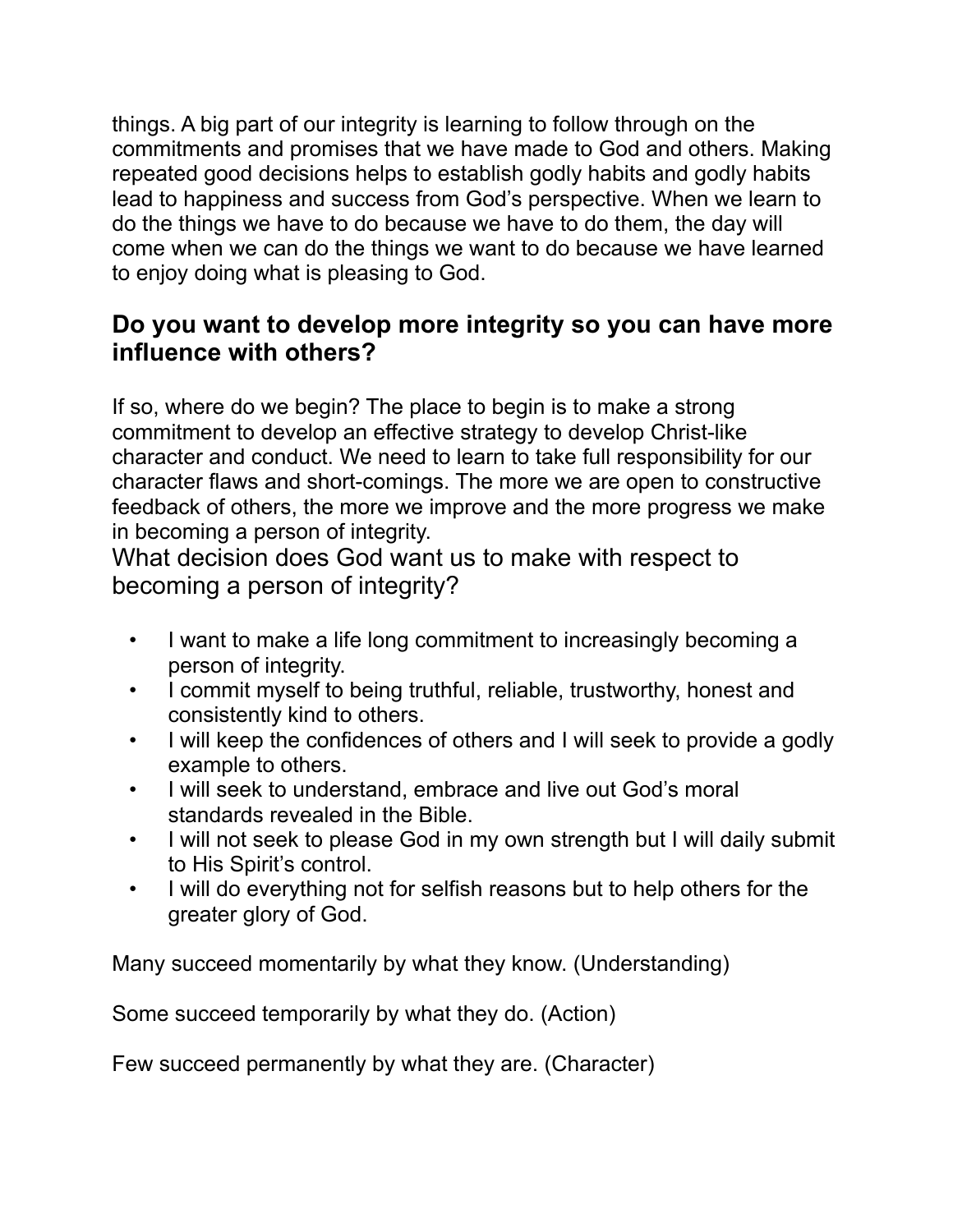things. A big part of our integrity is learning to follow through on the commitments and promises that we have made to God and others. Making repeated good decisions helps to establish godly habits and godly habits lead to happiness and success from God's perspective. When we learn to do the things we have to do because we have to do them, the day will come when we can do the things we want to do because we have learned to enjoy doing what is pleasing to God.

#### **Do you want to develop more integrity so you can have more influence with others?**

If so, where do we begin? The place to begin is to make a strong commitment to develop an effective strategy to develop Christ-like character and conduct. We need to learn to take full responsibility for our character flaws and short-comings. The more we are open to constructive feedback of others, the more we improve and the more progress we make in becoming a person of integrity.

What decision does God want us to make with respect to becoming a person of integrity?

- I want to make a life long commitment to increasingly becoming a person of integrity.
- I commit myself to being truthful, reliable, trustworthy, honest and consistently kind to others.
- I will keep the confidences of others and I will seek to provide a godly example to others.
- I will seek to understand, embrace and live out God's moral standards revealed in the Bible.
- I will not seek to please God in my own strength but I will daily submit to His Spirit's control.
- I will do everything not for selfish reasons but to help others for the greater glory of God.

Many succeed momentarily by what they know. (Understanding)

Some succeed temporarily by what they do. (Action)

Few succeed permanently by what they are. (Character)